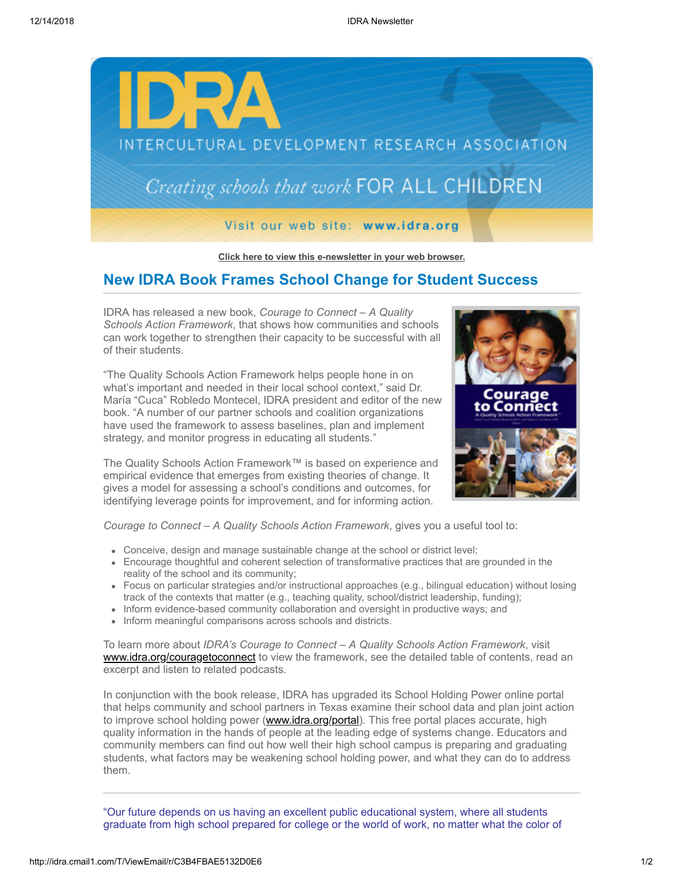

**[Click here to view this e-newsletter in your web browser.](http://idra.createsend1.com/t/r/e/mtlgk/l/)**

## **New IDRA Book Frames School Change for Student Success**

IDRA has released a new book, *Courage to Connect – A Quality Schools Action Framework*, that shows how communities and schools can work together to strengthen their capacity to be successful with all of their students.

"The Quality Schools Action Framework helps people hone in on what's important and needed in their local school context," said Dr. María "Cuca" Robledo Montecel, IDRA president and editor of the new book. "A number of our partner schools and coalition organizations have used the framework to assess baselines, plan and implement strategy, and monitor progress in educating all students."

The Quality Schools Action Framework™ is based on experience and empirical evidence that emerges from existing theories of change. It gives a model for assessing a school's conditions and outcomes, for identifying leverage points for improvement, and for informing action.



*Courage to Connect – A Quality Schools Action Framework*, gives you a useful tool to:

- Conceive, design and manage sustainable change at the school or district level;
- Encourage thoughtful and coherent selection of transformative practices that are grounded in the reality of the school and its community;
- Focus on particular strategies and/or instructional approaches (e.g., bilingual education) without losing track of the contexts that matter (e.g., teaching quality, school/district leadership, funding);
- Inform evidence-based community collaboration and oversight in productive ways; and
- Inform meaningful comparisons across schools and districts.

To learn more about *IDRA's Courage to Connect – A Quality Schools Action Framework*, visit [www.idra.org/couragetoconnect](http://idra.createsend1.com/t/r/l/mtlgk/l/y) to view the framework, see the detailed table of contents, read an excerpt and listen to related podcasts.

In conjunction with the book release, IDRA has upgraded its School Holding Power online portal that helps community and school partners in Texas examine their school data and plan joint action to improve school holding power [\(www.idra.org/portal\)](http://idra.createsend1.com/t/r/l/mtlgk/l/j). This free portal places accurate, high quality information in the hands of people at the leading edge of systems change. Educators and community members can find out how well their high school campus is preparing and graduating students, what factors may be weakening school holding power, and what they can do to address them.

"Our future depends on us having an excellent public educational system, where all students graduate from high school prepared for college or the world of work, no matter what the color of